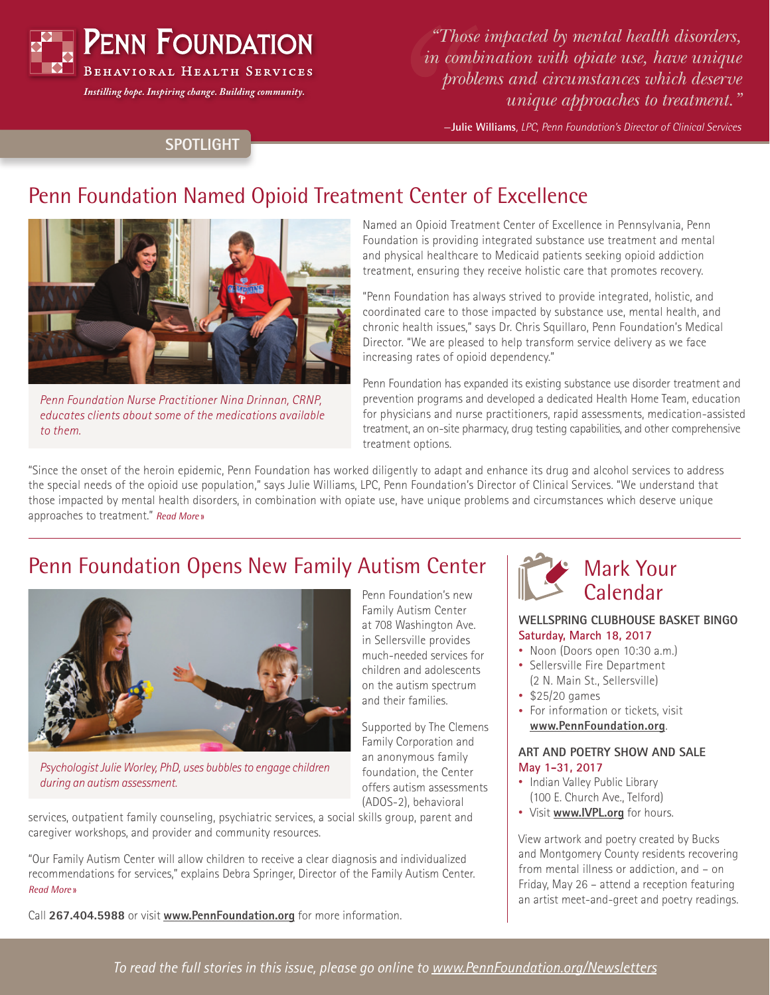

*Instilling hope. Inspiring change. Building community.*

*"Those impacted by mental health disorders, in combination with opiate use, have unique problems and circumstances which deserve unique approaches to treatment."*

—**Julie Williams***, LPC, Penn Foundation's Director of Clinical Services*

## **SPOTLIGHT**

# Penn Foundation Named Opioid Treatment Center of Excellence



*Penn Foundation Nurse Practitioner Nina Drinnan, CRNP, educates clients about some of the medications available to them.*

Named an Opioid Treatment Center of Excellence in Pennsylvania, Penn Foundation is providing integrated substance use treatment and mental and physical healthcare to Medicaid patients seeking opioid addiction treatment, ensuring they receive holistic care that promotes recovery.

"Penn Foundation has always strived to provide integrated, holistic, and coordinated care to those impacted by substance use, mental health, and chronic health issues," says Dr. Chris Squillaro, Penn Foundation's Medical Director. "We are pleased to help transform service delivery as we face increasing rates of opioid dependency."

Penn Foundation has expanded its existing substance use disorder treatment and prevention programs and developed a dedicated Health Home Team, education for physicians and nurse practitioners, rapid assessments, medication-assisted treatment, an on-site pharmacy, drug testing capabilities, and other comprehensive treatment options.

"Since the onset of the heroin epidemic, Penn Foundation has worked diligently to adapt and enhance its drug and alcohol services to address the special needs of the opioid use population," says Julie Williams, LPC, Penn Foundation's Director of Clinical Services. "We understand that those impacted by mental health disorders, in combination with opiate use, have unique problems and circumstances which deserve unique approaches to treatment." *[Read More](https://www.pennfoundation.org/news-and-events/newsletters/penn-foundation-is-named-an-opioid-treatment-center-of-excellence.html)* »

## Penn Foundation Opens New Family Autism Center



*Psychologist Julie Worley, PhD, uses bubbles to engage children during an autism assessment.*

services, outpatient family counseling, psychiatric services, a social skills group, parent and caregiver workshops, and provider and community resources.

"Our Family Autism Center will allow children to receive a clear diagnosis and individualized recommendations for services," explains Debra Springer, Director of the Family Autism Center. *[Read More](https://www.pennfoundation.org/news-and-events/newsletters/penn-foundation-opens-new-family-autism-center.html)* »

Call **267.404.5988** or visit **[www.PennFoundation.org](http://www.PennFoundation.org)** for more information.

Penn Foundation's new Family Autism Center at 708 Washington Ave. in Sellersville provides much-needed services for children and adolescents on the autism spectrum and their families.

Supported by The Clemens Family Corporation and an anonymous family foundation, the Center offers autism assessments (ADOS-2), behavioral

#### (2 N. Main St., Sellersville) • \$25/20 games

**Saturday, March 18, 2017** • Noon (Doors open 10:30 a.m.) • Sellersville Fire Department

**WELLSPRING CLUBHOUSE BASKET BINGO**

Mark Your Calendar

• For information or tickets, visit **[www.PennFoundation.org](http://www.PennFoundation.org)**.

#### **ART AND POETRY SHOW AND SALE May 1-31, 2017**

- Indian Valley Public Library (100 E. Church Ave., Telford)
- Visit **[www.IVPL.org](http://www.IVPL.org)** for hours.

View artwork and poetry created by Bucks and Montgomery County residents recovering from mental illness or addiction, and – on Friday, May 26 – attend a reception featuring an artist meet-and-greet and poetry readings.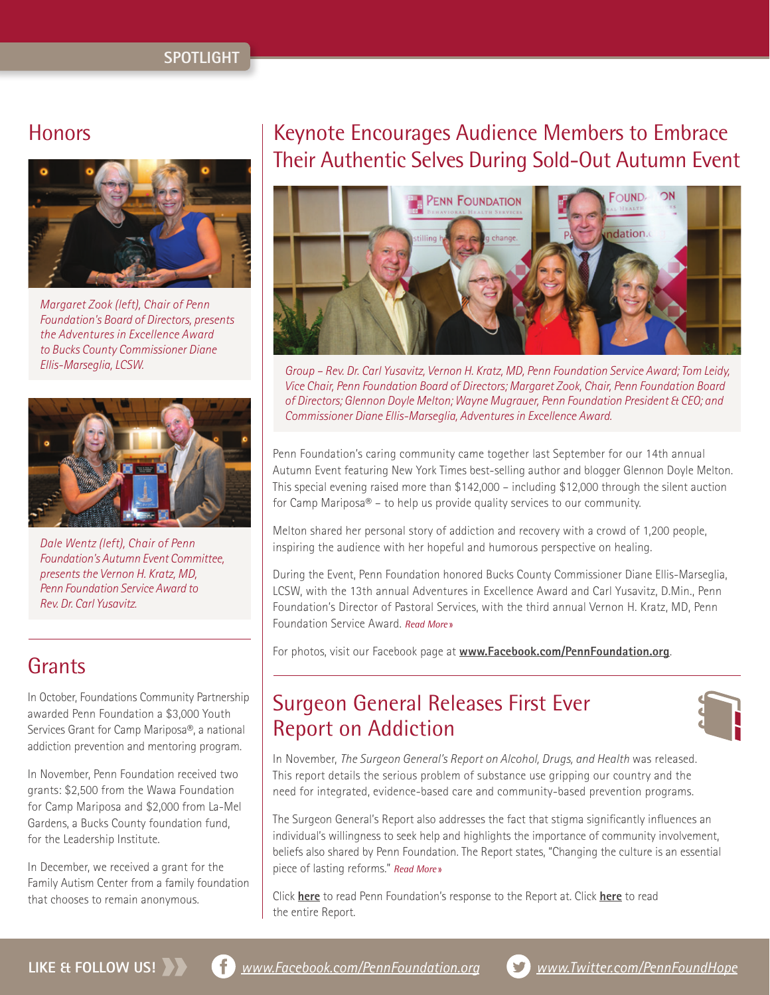#### **SPOTLIGHT**



*Margaret Zook (left), Chair of Penn Foundation's Board of Directors, presents the Adventures in Excellence Award to Bucks County Commissioner Diane Ellis-Marseglia, LCSW.*



*Dale Wentz (left), Chair of Penn Foundation's Autumn Event Committee, presents the Vernon H. Kratz, MD, Penn Foundation Service Award to Rev. Dr. Carl Yusavitz.*

## **Grants**

In October, Foundations Community Partnership awarded Penn Foundation a \$3,000 Youth Services Grant for Camp Mariposa®, a national addiction prevention and mentoring program.

In November, Penn Foundation received two grants: \$2,500 from the Wawa Foundation for Camp Mariposa and \$2,000 from La-Mel Gardens, a Bucks County foundation fund, for the Leadership Institute.

In December, we received a grant for the Family Autism Center from a family foundation that chooses to remain anonymous.

# Honors **Encourages** Audience Members to Embrace Their Authentic Selves During Sold-Out Autumn Event



*Group – Rev. Dr. Carl Yusavitz, Vernon H. Kratz, MD, Penn Foundation Service Award; Tom Leidy, Vice Chair, Penn Foundation Board of Directors; Margaret Zook, Chair, Penn Foundation Board of Directors; Glennon Doyle Melton; Wayne Mugrauer, Penn Foundation President & CEO; and Commissioner Diane Ellis-Marseglia, Adventures in Excellence Award.*

Penn Foundation's caring community came together last September for our 14th annual Autumn Event featuring New York Times best-selling author and blogger Glennon Doyle Melton. This special evening raised more than \$142,000 – including \$12,000 through the silent auction for Camp Mariposa® – to help us provide quality services to our community.

Melton shared her personal story of addiction and recovery with a crowd of 1,200 people, inspiring the audience with her hopeful and humorous perspective on healing.

During the Event, Penn Foundation honored Bucks County Commissioner Diane Ellis-Marseglia, LCSW, with the 13th annual Adventures in Excellence Award and Carl Yusavitz, D.Min., Penn Foundation's Director of Pastoral Services, with the third annual Vernon H. Kratz, MD, Penn Foundation Service Award. *[Read More](https://www.pennfoundation.org/news-and-events/newsletters/keynote-speaker-glennon-doyle-melton-encourages-audience-members-to-embrace-their-authentic-selves-during-sold-out-autumn-event.html)* »

For photos, visit our Facebook page at **[www.Facebook.com/PennFoundation.org](http://www.Facebook.com/PennFoundation.org)**.

# Surgeon General Releases First Ever Report on Addiction



In November, *The Surgeon General's Report on Alcohol, Drugs, and Health* was released. This report details the serious problem of substance use gripping our country and the need for integrated, evidence-based care and community-based prevention programs.

The Surgeon General's Report also addresses the fact that stigma significantly influences an individual's willingness to seek help and highlights the importance of community involvement, beliefs also shared by Penn Foundation. The Report states, "Changing the culture is an essential piece of lasting reforms." *[Read More](https://www.pennfoundation.org/news-and-events/newsletters/surgeon-general-releases-first-ever-report-on-addiction.html)* »

Click **[here](http://tinyurl.com/PFResponse)** to read Penn Foundation's response to the Report at. Click **[here](https://addiction.SurgeonGeneral.gov)** to read the entire Report.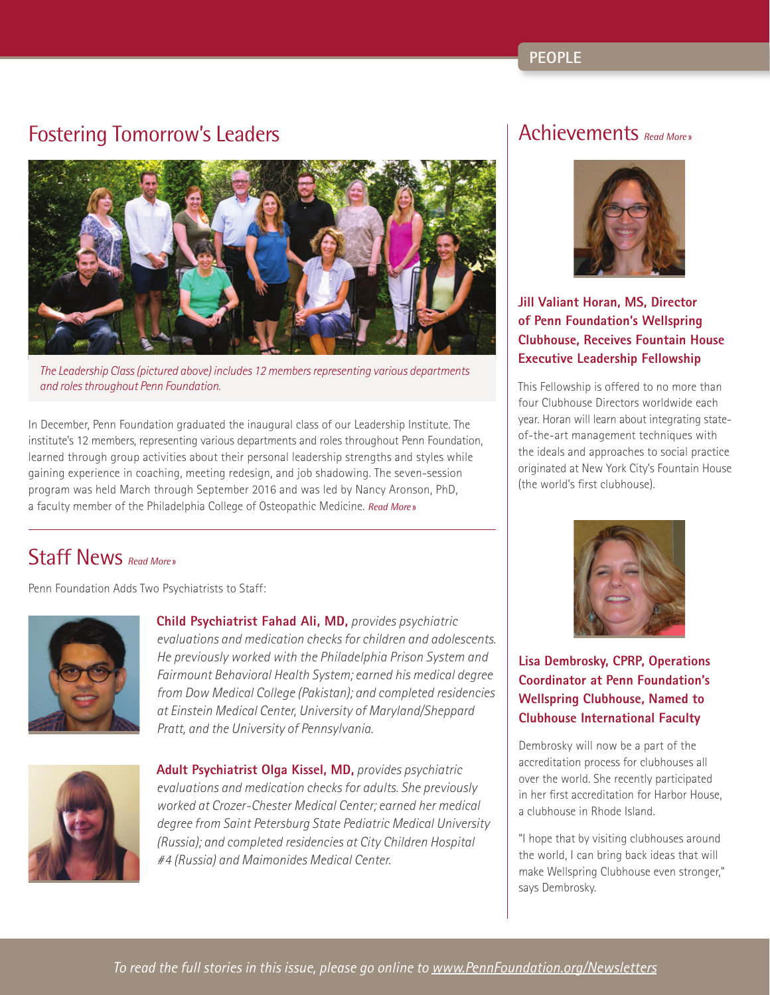# Fostering Tomorrow's Leaders



*The Leadership Class (pictured above) includes 12 members representing various departments and roles throughout Penn Foundation.*

In December, Penn Foundation graduated the inaugural class of our Leadership Institute. The institute's 12 members, representing various departments and roles throughout Penn Foundation, learned through group activities about their personal leadership strengths and styles while gaining experience in coaching, meeting redesign, and job shadowing. The seven-session program was held March through September 2016 and was led by Nancy Aronson, PhD, a faculty member of the Philadelphia College of Osteopathic Medicine. *[Read More](https://www.pennfoundation.org/news-and-events/newsletters/fostering-tomorrow-s-leaders.html)* »

# Staff News *[Read More](https://www.pennfoundation.org/news-and-events/newsletters/penn-foundation-adds-two-psychiatrists-to-staff.html)* »

Penn Foundation Adds Two Psychiatrists to Staff:



**Child Psychiatrist Fahad Ali, MD,** *provides psychiatric evaluations and medication checks for children and adolescents. He previously worked with the Philadelphia Prison System and Fairmount Behavioral Health System; earned his medical degree from Dow Medical College (Pakistan); and completed residencies at Einstein Medical Center, University of Maryland/Sheppard Pratt, and the University of Pennsylvania.*



**Adult Psychiatrist Olga Kissel, MD,** *provides psychiatric evaluations and medication checks for adults. She previously worked at Crozer-Chester Medical Center; earned her medical degree from Saint Petersburg State Pediatric Medical University (Russia); and completed residencies at City Children Hospital #4 (Russia) and Maimonides Medical Center.*

## Achievements *[Read More](https://www.pennfoundation.org/news-and-events/newsletters/staff-achievements.html)* »



### **Jill Valiant Horan, MS, Director of Penn Foundation's Wellspring Clubhouse, Receives Fountain House Executive Leadership Fellowship**

This Fellowship is offered to no more than four Clubhouse Directors worldwide each year. Horan will learn about integrating stateof-the-art management techniques with the ideals and approaches to social practice originated at New York City's Fountain House (the world's first clubhouse).



**Lisa Dembrosky, CPRP, Operations Coordinator at Penn Foundation's Wellspring Clubhouse, Named to Clubhouse International Faculty**

Dembrosky will now be a part of the accreditation process for clubhouses all over the world. She recently participated in her first accreditation for Harbor House, a clubhouse in Rhode Island.

"I hope that by visiting clubhouses around the world, I can bring back ideas that will make Wellspring Clubhouse even stronger," says Dembrosky.